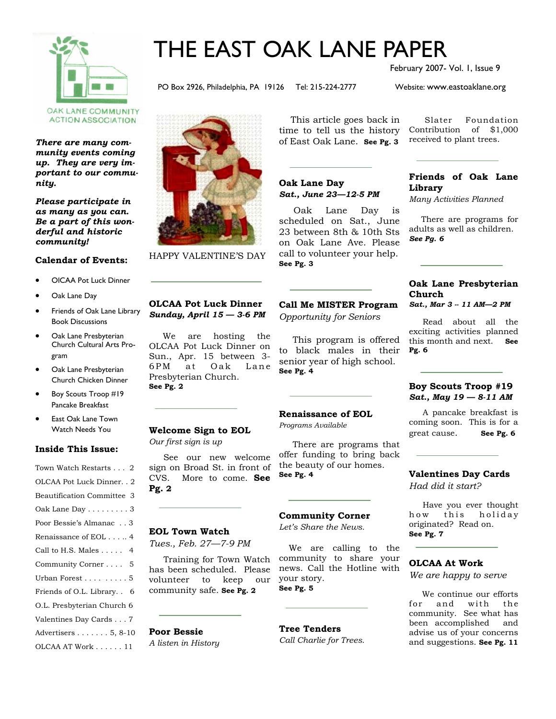

# THE EAST OAK LANE PAPER

February 2007- Vol. 1, Issue 9

PO Box 2926, Philadelphia, PA 19126 Tel: 215-224-2777 Website: www.eastoaklane.org

**ACTION ASSOCIATION** 

*There are many community events coming up. They are very important to our community.* 

*Please participate in as many as you can. Be a part of this wonderful and historic community!* 

#### **Calendar of Events:**

- OlCAA Pot Luck Dinner
- Oak Lane Day
- Friends of Oak Lane Library Book Discussions
- Oak Lane Presbyterian Church Cultural Arts Program
- Oak Lane Presbyterian Church Chicken Dinner
- Boy Scouts Troop #19 Pancake Breakfast
- East Oak Lane Town Watch Needs You

#### **Inside This Issue:**

| Town Watch Restarts 2               |
|-------------------------------------|
| OLCAA Pot Luck Dinner. . 2          |
| <b>Beautification Committee 3</b>   |
| Oak Lane Day 3                      |
| Poor Bessie's Almanac 3             |
| Renaissance of EOL 4                |
| Call to H.S. Males 4                |
| Community Corner 5                  |
| Urban Forest 5                      |
| Friends of O.L. Library<br>6        |
| O.L. Presbyterian Church 6          |
| Valentines Day Cards 7              |
| Advertisers $\ldots \ldots 5, 8-10$ |
| OLCAA AT Work 11                    |



HAPPY VALENTINE'S DAY

 This article goes back in time to tell us the history of East Oak Lane. **See Pg. 3** 

#### **Oak Lane Day** *Sat., June 23—12-5 PM*

 Oak Lane Day is scheduled on Sat., June 23 between 8th & 10th Sts on Oak Lane Ave. Please call to volunteer your help. **See Pg. 3** 

#### **Call Me MISTER Program**  *Opportunity for Seniors*

This program is offered to black males in their senior year of high school. **See Pg. 4** 

#### **Renaissance of EOL**

*Programs Available* 

There are programs that offer funding to bring back the beauty of our homes. **See Pg. 4**

#### **Community Corner**

*Let's Share the News.* 

We are calling to the community to share your news. Call the Hotline with your story. **See Pg. 5** 

**Tree Tenders**  *Call Charlie for Trees.* 

 Slater Foundation Contribution of \$1,000 received to plant trees.

#### **Friends of Oak Lane Library**

*Many Activities Planned* 

There are programs for adults as well as children. *See Pg. 6* 

#### **Oak Lane Presbyterian Church**  *Sat., Mar 3 -- 11 AM—2 PM*

Read about all the

exciting activities planned this month and next. **See Pg. 6** 

#### **Boy Scouts Troop #19**  *Sat., May 19 — 8-11 AM*

A pancake breakfast is coming soon. This is for a great cause. **See Pg. 6** 

### **Valentines Day Cards**

*Had did it start?* 

Have you ever thought how this holiday originated? Read on. **See Pg. 7** 

#### **OLCAA At Work**

*We are happy to serve*

 We continue our efforts for and with the community. See what has been accomplished and advise us of your concerns and suggestions. **See Pg. 11** 

### **OLCAA Pot Luck Dinner** *Sunday, April 15 — 3-6 PM*

 We are hosting the OLCAA Pot Luck Dinner on Sun., Apr. 15 between 3- 6PM at Oak Lane Presbyterian Church. **See Pg. 2** 

**Welcome Sign to EOL** 

*Our first sign is up* 

 See our new welcome sign on Broad St. in front of CVS. More to come. **See Pg. 2** 

### **EOL Town Watch**

*Tues., Feb. 27—7-9 PM* 

 Training for Town Watch has been scheduled. Please volunteer to keep our community safe. **See Pg. 2** 

### **Poor Bessie**

*A listen in History*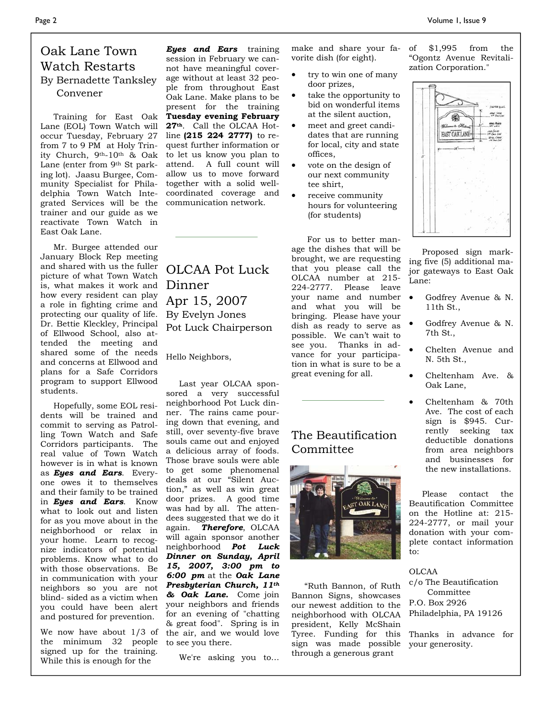### Oak Lane Town Watch Restarts By Bernadette Tanksley Convener

 Training for East Oak Lane (EOL) Town Watch will occur Tuesday, February 27 from 7 to 9 PM at Holy Trinity Church, 9th-10th & Oak Lane (enter from 9<sup>th</sup> St parking lot). Jaasu Burgee, Community Specialist for Philadelphia Town Watch Integrated Services will be the trainer and our guide as we reactivate Town Watch in East Oak Lane.

 Mr. Burgee attended our January Block Rep meeting and shared with us the fuller picture of what Town Watch is, what makes it work and how every resident can play a role in fighting crime and protecting our quality of life. Dr. Bettie Kleckley, Principal of Ellwood School, also attended the meeting and shared some of the needs and concerns at Ellwood and plans for a Safe Corridors program to support Ellwood students.

 Hopefully, some EOL residents will be trained and commit to serving as Patrolling Town Watch and Safe Corridors participants. The real value of Town Watch however is in what is known as *Eyes and Ears*. Everyone owes it to themselves and their family to be trained in *Eyes and Ears*. Know what to look out and listen for as you move about in the neighborhood or relax in your home. Learn to recognize indicators of potential problems. Know what to do with those observations. Be in communication with your neighbors so you are not blind- sided as a victim when you could have been alert and postured for prevention.

We now have about 1/3 of the minimum 32 people signed up for the training. While this is enough for the

*Eyes and Ears* training session in February we cannot have meaningful coverage without at least 32 people from throughout East Oak Lane. Make plans to be present for the training **Tuesday evening February 27th**. Call the OLCAA Hotline **(215 224 2777)** to request further information or to let us know you plan to attend. A full count will allow us to move forward together with a solid wellcoordinated coverage and communication network.

OLCAA Pot Luck Dinner Apr 15, 2007 By Evelyn Jones Pot Luck Chairperson

Hello Neighbors,

 Last year OLCAA sponsored a very successful neighborhood Pot Luck dinner. The rains came pouring down that evening, and still, over seventy-five brave souls came out and enjoyed a delicious array of foods. Those brave souls were able to get some phenomenal deals at our "Silent Auction," as well as win great door prizes. A good time was had by all. The attendees suggested that we do it again. *Therefore*, OLCAA will again sponsor another neighborhood *Pot Luck Dinner on Sunday, April 15, 2007, 3:00 pm to 6:00 pm* at the *Oak Lane Presbyterian Church, 11th & Oak Lane.* Come join your neighbors and friends for an evening of "chatting & great food". Spring is in the air, and we would love to see you there.

We're asking you to…

make and share your favorite dish (for eight).

- try to win one of many door prizes,
- take the opportunity to bid on wonderful items at the silent auction,
- meet and greet candidates that are running for local, city and state offices,
- vote on the design of our next community tee shirt,
- receive community hours for volunteering (for students)

 For us to better manage the dishes that will be brought, we are requesting that you please call the OLCAA number at 215- 224-2777. Please leave your name and number and what you will be bringing. Please have your dish as ready to serve as possible. We can't wait to see you. Thanks in advance for your participation in what is sure to be a great evening for all.

### The Beautification Committee



 "Ruth Bannon, of Ruth Bannon Signs, showcases our newest addition to the neighborhood with OLCAA president, Kelly McShain Tyree. Funding for this sign was made possible through a generous grant

of \$1,995 from the "Ogontz Avenue Revitalization Corporation."



 Proposed sign marking five (5) additional major gateways to East Oak Lane:

- Godfrey Avenue & N. 11th St.,
- Godfrey Avenue & N. 7th St.,
- Chelten Avenue and N. 5th St.,
- Cheltenham Ave. & Oak Lane,
- Cheltenham & 70th Ave. The cost of each sign is \$945. Currently seeking tax deductible donations from area neighbors and businesses for the new installations.

 Please contact the Beautification Committee on the Hotline at: 215- 224-2777, or mail your donation with your complete contact information to:

OLCAA c/o The Beautification Committee P.O. Box 2926 Philadelphia, PA 19126

Thanks in advance for your generosity.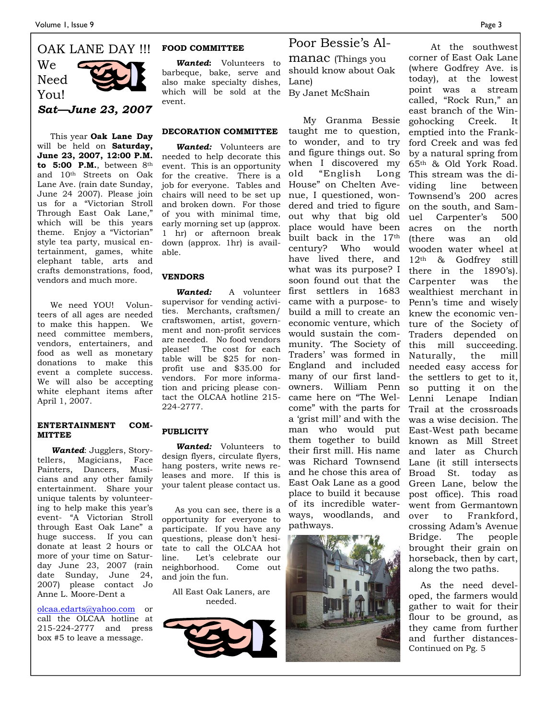### OAK LANE DAY !!! We Need You!

*Sat—June 23, 2007* 

 This year **Oak Lane Day** will be held on **Saturday, June 23, 2007, 12:00 P.M. to 5:00 P.M.**, between 8th and 10th Streets on Oak Lane Ave. (rain date Sunday, June 24 2007). Please join us for a "Victorian Stroll Through East Oak Lane," which will be this years theme. Enjoy a "Victorian" style tea party, musical entertainment, games, white elephant table, arts and crafts demonstrations, food, vendors and much more.

 We need YOU! Volunteers of all ages are needed to make this happen. We need committee members, vendors, entertainers, and food as well as monetary donations to make this event a complete success. We will also be accepting white elephant items after April 1, 2007.

#### **ENTERTAINMENT COM-MITTEE**

 *Wanted*: Jugglers, Storytellers, Magicians, Face Painters, Dancers, Musicians and any other family entertainment. Share your unique talents by volunteering to help make this year's event- "A Victorian Stroll through East Oak Lane" a huge success. If you can donate at least 2 hours or more of your time on Saturday June 23, 2007 (rain date Sunday, June 24, 2007) please contact Jo Anne L. Moore-Dent a

olcaa.edarts@yahoo.com or call the OLCAA hotline at 215-224-2777 and press box #5 to leave a message.

#### **FOOD COMMITTEE**

 *Wanted***:** Volunteers to barbeque, bake, serve and also make specialty dishes, which will be sold at the event.

#### **DECORATION COMMITTEE**

 *Wanted:* Volunteers are needed to help decorate this event. This is an opportunity for the creative. There is a job for everyone. Tables and chairs will need to be set up and broken down. For those of you with minimal time, early morning set up (approx. 1 hr) or afternoon break down (approx. 1hr) is available.

#### **VENDORS**

 *Wanted:* A volunteer supervisor for vending activities. Merchants, craftsmen/ craftswomen, artist, government and non-profit services are needed. No food vendors please! The cost for each table will be \$25 for nonprofit use and \$35.00 for vendors. For more information and pricing please contact the OLCAA hotline 215- 224-2777.

#### **PUBLICITY**

 *Wanted:* Volunteers to design flyers, circulate flyers, hang posters, write news releases and more. If this is your talent please contact us.

 As you can see, there is a opportunity for everyone to participate. If you have any questions, please don't hesitate to call the OLCAA hot line. Let's celebrate our neighborhood. Come out and join the fun.

All East Oak Laners, are needed.



### Poor Bessie's Al-

manac (Things you should know about Oak Lane) By Janet McShain

 My Granma Bessie taught me to question, to wonder, and to try and figure things out. So when I discovered my old "English Long House" on Chelten Avenue, I questioned, wondered and tried to figure out why that big old place would have been built back in the 17th century? Who would have lived there, and what was its purpose? I soon found out that the first settlers in 1683 came with a purpose- to build a mill to create an economic venture, which would sustain the community. 'The Society of Traders' was formed in England and included many of our first landowners. William Penn came here on "The Welcome" with the parts for a 'grist mill' and with the man who would put them together to build their first mill. His name was Richard Townsend and he chose this area of East Oak Lane as a good place to build it because of its incredible waterways, woodlands, and pathways.



 At the southwest corner of East Oak Lane (where Godfrey Ave. is today), at the lowest point was a stream called, "Rock Run," an east branch of the Wingohocking Creek. It emptied into the Frankford Creek and was fed by a natural spring from 65th & Old York Road. This stream was the dividing line between Townsend's 200 acres on the south, and Samuel Carpenter's 500 acres on the north (there was an old wooden water wheel at 12th & Godfrey still there in the 1890's). Carpenter was the wealthiest merchant in Penn's time and wisely knew the economic venture of the Society of Traders depended on this mill succeeding. Naturally, the mill needed easy access for the settlers to get to it, so putting it on the Lenni Lenape Indian Trail at the crossroads was a wise decision. The East-West path became known as Mill Street and later as Church Lane (it still intersects Broad St. today as Green Lane, below the post office). This road went from Germantown over to Frankford, crossing Adam's Avenue Bridge. The people brought their grain on horseback, then by cart, along the two paths.

 As the need developed, the farmers would gather to wait for their flour to be ground, as they came from further and further distances- Continued on Pg. 5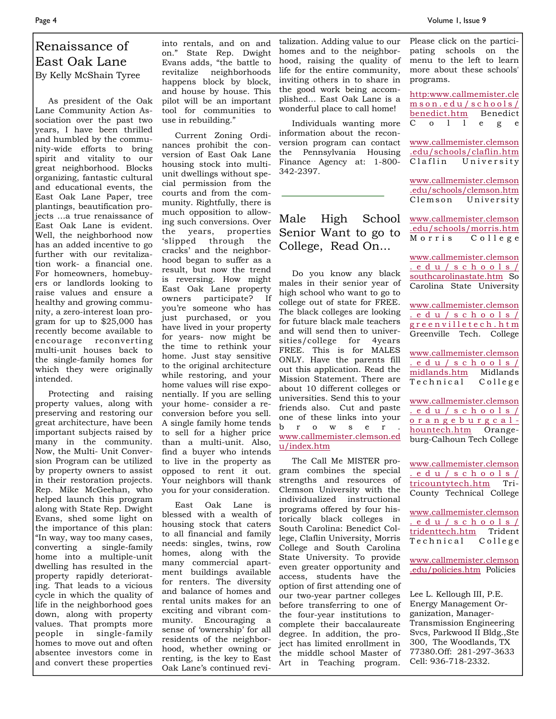Please click on the participating schools on the menu to the left to learn

### Renaissance of East Oak Lane By Kelly McShain Tyree

 As president of the Oak Lane Community Action Association over the past two years, I have been thrilled and humbled by the community-wide efforts to bring spirit and vitality to our great neighborhood. Blocks organizing, fantastic cultural and educational events, the East Oak Lane Paper, tree plantings, beautification projects …a true renaissance of East Oak Lane is evident. Well, the neighborhood now has an added incentive to go further with our revitalization work- a financial one. For homeowners, homebuyers or landlords looking to raise values and ensure a healthy and growing community, a zero-interest loan program for up to \$25,000 has recently become available to encourage reconverting multi-unit houses back to the single-family homes for which they were originally intended.

 Protecting and raising property values, along with preserving and restoring our great architecture, have been important subjects raised by many in the community. Now, the Multi- Unit Conversion Program can be utilized by property owners to assist in their restoration projects. Rep. Mike McGeehan, who helped launch this program along with State Rep. Dwight Evans, shed some light on the importance of this plan: "In way, way too many cases, converting a single-family home into a multiple-unit dwelling has resulted in the property rapidly deteriorating. That leads to a vicious cycle in which the quality of life in the neighborhood goes down, along with property values. That prompts more people in single-family homes to move out and often absentee investors come in and convert these properties

into rentals, and on and on." State Rep. Dwight Evans adds, "the battle to revitalize neighborhoods happens block by block, and house by house. This pilot will be an important tool for communities to use in rebuilding."

 Current Zoning Ordinances prohibit the conversion of East Oak Lane housing stock into multiunit dwellings without special permission from the courts and from the community. Rightfully, there is much opposition to allowing such conversions. Over the years, properties 'slipped through the cracks' and the neighborhood began to suffer as a result, but now the trend is reversing. How might East Oak Lane property owners participate? If you're someone who has just purchased, or you have lived in your property for years- now might be the time to rethink your home. Just stay sensitive to the original architecture while restoring, and your home values will rise exponentially. If you are selling your home- consider a reconversion before you sell. A single family home tends to sell for a higher price than a multi-unit. Also, find a buyer who intends to live in the property as opposed to rent it out. Your neighbors will thank you for your consideration.

 East Oak Lane is blessed with a wealth of housing stock that caters to all financial and family needs: singles, twins, row homes, along with the many commercial apartment buildings available for renters. The diversity and balance of homes and rental units makes for an exciting and vibrant community. Encouraging a sense of 'ownership' for all residents of the neighborhood, whether owning or renting, is the key to East Oak Lane's continued revitalization. Adding value to our homes and to the neighborhood, raising the quality of life for the entire community, inviting others in to share in the good work being accomplished… East Oak Lane is a wonderful place to call home!

 Individuals wanting more information about the reconversion program can contact the Pennsylvania Housing Finance Agency at: 1-800- 342-2397.

### Male High School Senior Want to go to College, Read On...

 Do you know any black males in their senior year of high school who want to go to college out of state for FREE. The black colleges are looking for future black male teachers and will send then to universities/college for 4years FREE. This is for MALES ONLY. Have the parents fill out this application. Read the Mission Statement. There are about 10 different colleges or universities. Send this to your friends also. Cut and paste one of these links into your b r o w s e r . www.callmemister.clemson.ed u/index.htm

 The Call Me MISTER program combines the special strengths and resources of Clemson University with the individualized instructional programs offered by four historically black colleges in South Carolina: Benedict College, Claflin University, Morris College and South Carolina State University. To provide even greater opportunity and access, students have the option of first attending one of our two-year partner colleges before transferring to one of the four-year institutions to complete their baccalaureate degree. In addition, the project has limited enrollment in the middle school Master of Art in Teaching program. more about these schools' programs. http:www.callmemister.cle mson.edu/schools/ benedict.htm Benedict C o l l e g e www.callmemister.clemson .edu/schools/claflin.htm Claflin University www.callmemister.clemson .edu/schools/clemson.htm Clemson University www.callmemister.clemson .edu/schools/morris.htm  $C$  o  $11$  e g e www.callmemister.clemson .edu/schools/ southcarolinastate.htm So Carolina State University www.callmemister.clemson .edu/schools/ greenvilletech.htm Greenville Tech. College www.callmemister.clemson .edu/schools/ midlands.htm Midlands Technical College www.callmemister.clemson .edu/schools/ orangeburgcalhountech.htm Orangeburg-Calhoun Tech College

www.callmemister.clemson .edu/schools/ tricountytech.htm Tri-County Technical College

www.callmemister.clemson .edu/schools/ tridenttech.htm Trident  $Technical$  College

www.callmemister.clemson .edu/policies.htm Policies

Lee L. Kellough III, P.E. Energy Management Organization, Manager-Transmission Engineering Svcs, Parkwood II Bldg.,Ste 300, The Woodlands, TX 77380.Off: 281-297-3633 Cell: 936-718-2332.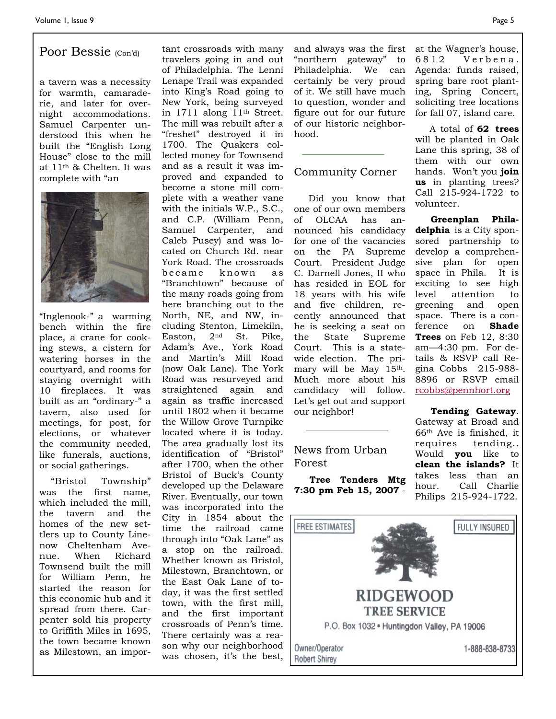### Poor Bessie (Con'd)

a tavern was a necessity for warmth, camaraderie, and later for overnight accommodations. Samuel Carpenter understood this when he built the "English Long House" close to the mill at 11th & Chelten. It was complete with "an



"Inglenook-" a warming bench within the fire place, a crane for cooking stews, a cistern for watering horses in the courtyard, and rooms for staying overnight with 10 fireplaces. It was built as an "ordinary-" a tavern, also used for meetings, for post, for elections, or whatever the community needed, like funerals, auctions, or social gatherings.

 "Bristol Township" was the first name, which included the mill, the tavern and the homes of the new settlers up to County Linenow Cheltenham Avenue. When Richard Townsend built the mill for William Penn, he started the reason for this economic hub and it spread from there. Carpenter sold his property to Griffith Miles in 1695, the town became known as Milestown, an impor-

tant crossroads with many travelers going in and out of Philadelphia. The Lenni Lenape Trail was expanded into King's Road going to New York, being surveyed in 1711 along 11th Street. The mill was rebuilt after a "freshet" destroyed it in 1700. The Quakers collected money for Townsend and as a result it was improved and expanded to become a stone mill complete with a weather vane with the initials W.P., S.C., and C.P. (William Penn, Samuel Carpenter, and Caleb Pusey) and was located on Church Rd. near York Road. The crossroads became known as "Branchtown" because of the many roads going from here branching out to the North, NE, and NW, including Stenton, Limekiln, Easton, 2nd St. Pike, Adam's Ave., York Road and Martin's Mill Road (now Oak Lane). The York Road was resurveyed and straightened again and again as traffic increased until 1802 when it became the Willow Grove Turnpike located where it is today. The area gradually lost its identification of "Bristol" after 1700, when the other Bristol of Buck's County developed up the Delaware River. Eventually, our town was incorporated into the City in 1854 about the time the railroad came through into "Oak Lane" as a stop on the railroad. Whether known as Bristol, Milestown, Branchtown, or the East Oak Lane of today, it was the first settled town, with the first mill, and the first important crossroads of Penn's time. There certainly was a reason why our neighborhood was chosen, it's the best,

and always was the first "northern gateway" to Philadelphia. We can certainly be very proud of it. We still have much to question, wonder and figure out for our future of our historic neighborhood.

#### Community Corner

 Did you know that one of our own members of OLCAA has announced his candidacy for one of the vacancies on the PA Supreme Court. President Judge C. Darnell Jones, II who has resided in EOL for 18 years with his wife and five children, recently announced that he is seeking a seat on the State Supreme Court. This is a statewide election. The primary will be May 15<sup>th</sup>. Much more about his candidacy will follow. Let's get out and support our neighbor!

#### News from Urban Forest

 **Tree Tenders Mtg 7:30 pm Feb 15, 2007** -

at the Wagner's house, 6812 Verbena. Agenda: funds raised, spring bare root planting, Spring Concert, soliciting tree locations for fall 07, island care.

 A total of **62 trees** will be planted in Oak Lane this spring, 38 of them with our own hands. Won't you **join us** in planting trees? Call 215-924-1722 to volunteer.

 **Greenplan Philadelphia** is a City sponsored partnership to develop a comprehensive plan for open space in Phila. It is exciting to see high level attention to greening and open space. There is a conference on **Shade Trees** on Feb 12, 8:30 am—4:30 pm. For details & RSVP call Regina Cobbs 215-988- 8896 or RSVP email rcobbs@pennhort.org

 **Tending Gateway**. Gateway at Broad and 66th Ave is finished, it requires tending.. Would **you** like to **clean the islands?** It takes less than an hour. Call Charlie Philips 215-924-1722.

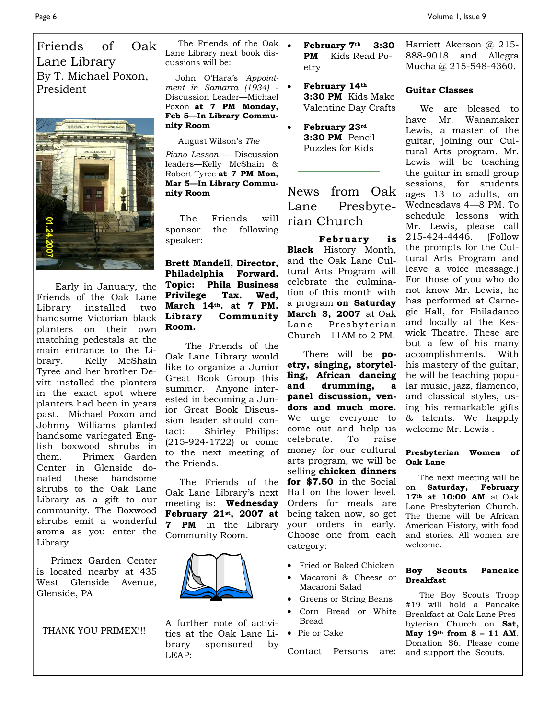Friends of Oak Lane Library By T. Michael Poxon, President



Early in January, the Friends of the Oak Lane Library installed two handsome Victorian black planters on their own matching pedestals at the main entrance to the Library. Kelly McShain Tyree and her brother Devitt installed the planters in the exact spot where planters had been in years past. Michael Poxon and Johnny Williams planted handsome variegated English boxwood shrubs in them. Primex Garden Center in Glenside donated these handsome shrubs to the Oak Lane Library as a gift to our community. The Boxwood shrubs emit a wonderful aroma as you enter the Library.

 Primex Garden Center is located nearby at 435 West Glenside Avenue, Glenside, PA

THANK YOU PRIMEX!!!

The Friends of the Oak  $\bullet$ Lane Library next book discussions will be:

 John O'Hara's *Appointment in Samarra (1934)* - Discussion Leader—Michael Poxon **at 7 PM Monday, Feb 5—In Library Community Room** 

August Wilson's *The* 

*Piano Lesson* — Discussion leaders—Kelly McShain & Robert Tyree **at 7 PM Mon, Mar 5—In Library Community Room** 

 The Friends will sponsor the following speaker:

**Brett Mandell, Director, Philadelphia Forward. Topic: Phila Business Privilege Tax. Wed, March 14th. at 7 PM. Library Community Room.** 

 The Friends of the Oak Lane Library would like to organize a Junior Great Book Group this summer. Anyone interested in becoming a Junior Great Book Discussion leader should contact: Shirley Philips: (215-924-1722) or come to the next meeting of the Friends.

 The Friends of the Oak Lane Library's next meeting is: **Wednesday February 21st, 2007 at 7 PM** in the Library Community Room.



A further note of activities at the Oak Lane Library sponsored by LEAP:

• **February 7th 3:30 PM** Kids Read Poetry

• **February 14th 3:30 PM** Kids Make Valentine Day Crafts

• **February 23rd 3:30 PM** Pencil Puzzles for Kids

### News from Oak Lane Presbyterian Church

**February** is **Black** History Month, and the Oak Lane Cultural Arts Program will celebrate the culmination of this month with a program **on Saturday March 3, 2007** at Oak Lane Presbyterian Church—11AM to 2 PM.

There will be **poetry, singing, storytelling, African dancing and drumming, a panel discussion, vendors and much more.** We urge everyone to come out and help us celebrate. To raise money for our cultural arts program, we will be selling **chicken dinners for \$7.50** in the Social Hall on the lower level. Orders for meals are being taken now, so get your orders in early. Choose one from each category:

- Fried or Baked Chicken
- Macaroni & Cheese or Macaroni Salad
- Greens or String Beans
- Corn Bread or White Bread
- Pie or Cake

Contact Persons are:

Harriett Akerson @ 215- 888-9018 and Allegra Mucha @ 215-548-4360.

#### **Guitar Classes**

 We are blessed to have Mr. Wanamaker Lewis, a master of the guitar, joining our Cultural Arts program. Mr. Lewis will be teaching the guitar in small group sessions, for students ages 13 to adults, on Wednesdays 4—8 PM. To schedule lessons with Mr. Lewis, please call 215-424-4446. (Follow the prompts for the Cultural Arts Program and leave a voice message.) For those of you who do not know Mr. Lewis, he has performed at Carnegie Hall, for Philadanco and locally at the Keswick Theatre. These are but a few of his many accomplishments. With his mastery of the guitar, he will be teaching popular music, jazz, flamenco, and classical styles, using his remarkable gifts & talents. We happily welcome Mr. Lewis .

#### **Presbyterian Women of Oak Lane**

 The next meeting will be on **Saturday, February 17th at 10:00 AM** at Oak Lane Presbyterian Church. The theme will be African American History, with food and stories. All women are welcome.

#### **Boy Scouts Pancake Breakfast**

The Boy Scouts Troop #19 will hold a Pancake Breakfast at Oak Lane Presbyterian Church on **Sat, May 19th from 8 – 11 AM**. Donation \$6. Please come and support the Scouts.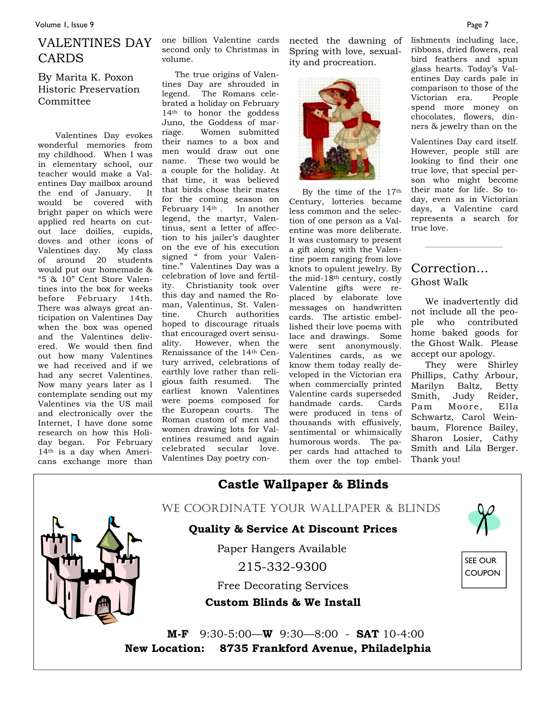### VALENTINES DAY CARDS

By Marita K. Poxon Historic Preservation Committee

 Valentines Day evokes wonderful memories from my childhood. When I was in elementary school, our teacher would make a Valentines Day mailbox around the end of January. It would be covered with bright paper on which were applied red hearts on cutout lace doilies, cupids, doves and other icons of<br>Valentines day. My class Valentines day. of around 20 students would put our homemade & "5 & 10" Cent Store Valentines into the box for weeks before February 14th. There was always great anticipation on Valentines Day when the box was opened and the Valentines delivered. We would then find out how many Valentines we had received and if we had any secret Valentines. Now many years later as I contemplate sending out my Valentines via the US mail and electronically over the Internet, I have done some research on how this Holiday began. For February 14th is a day when Americans exchange more than

one billion Valentine cards second only to Christmas in volume.

 The true origins of Valentines Day are shrouded in legend. The Romans celebrated a holiday on February 14th to honor the goddess Juno, the Goddess of marriage. Women submitted their names to a box and men would draw out one name. These two would be a couple for the holiday. At that time, it was believed that birds chose their mates for the coming season on February 14th . In another legend, the martyr, Valentinus, sent a letter of affection to his jailer's daughter on the eve of his execution signed " from your Valentine." Valentines Day was a celebration of love and fertility. Christianity took over this day and named the Roman, Valentinus, St. Valentine. Church authorities hoped to discourage rituals that encouraged overt sensuality. However, when the Renaissance of the 14th Century arrived, celebrations of earthly love rather than religious faith resumed. The earliest known Valentines were poems composed for the European courts. The Roman custom of men and women drawing lots for Valentines resumed and again celebrated secular love. Valentines Day poetry con-

nected the dawning of lishments including lace, Spring with love, sexuality and procreation.



 By the time of the 17th Century, lotteries became less common and the selection of one person as a Valentine was more deliberate. It was customary to present a gift along with the Valentine poem ranging from love knots to opulent jewelry. By the mid-18th century, costly Valentine gifts were replaced by elaborate love messages on handwritten cards. The artistic embellished their love poems with lace and drawings. Some were sent anonymously. Valentines cards, as we know them today really developed in the Victorian era when commercially printed Valentine cards superseded handmade cards. Cards were produced in tens of thousands with effusively, sentimental or whimsically humorous words. The paper cards had attached to them over the top embel-

ribbons, dried flowers, real bird feathers and spun glass hearts. Today's Valentines Day cards pale in comparison to those of the Victorian era. People spend more money on chocolates, flowers, dinners & jewelry than on the

Valentines Day card itself. However, people still are looking to find their one true love, that special person who might become their mate for life. So today, even as in Victorian days, a Valentine card represents a search for true love.

### Correction... Ghost Walk

 We inadvertently did not include all the people who contributed home baked goods for the Ghost Walk. Please accept our apology.

 They were Shirley Phillips, Cathy Arbour, Marilyn Baltz, Betty Smith, Judy Reider, Pam Moore, Ella Schwartz, Carol Weinbaum, Florence Bailey, Sharon Losier, Cathy Smith and Lila Berger. Thank you!



**New Location: 8735 Frankford Avenue, Philadelphia**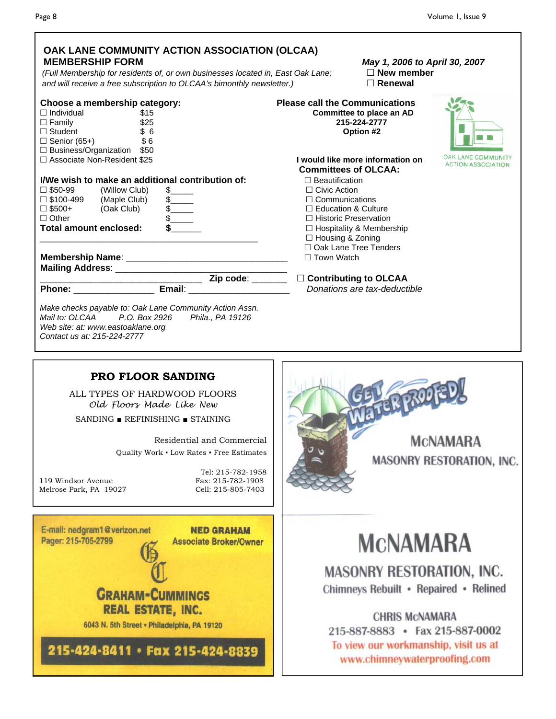| OAK LANE COMMUNITY ACTION ASSOCIATION (OLCAA)<br><b>MEMBERSHIP FORM</b><br>(Full Membership for residents of, or own businesses located in, East Oak Lane;<br>and will receive a free subscription to OLCAA's bimonthly newsletter.)                                                                                                                                                                                                                        | May 1, 2006 to April 30, 2007<br>$\Box$ New member<br>$\Box$ Renewal                                                                                                                                                                                                                                                                                                                                                                   |
|-------------------------------------------------------------------------------------------------------------------------------------------------------------------------------------------------------------------------------------------------------------------------------------------------------------------------------------------------------------------------------------------------------------------------------------------------------------|----------------------------------------------------------------------------------------------------------------------------------------------------------------------------------------------------------------------------------------------------------------------------------------------------------------------------------------------------------------------------------------------------------------------------------------|
| Choose a membership category:<br>$\Box$ Individual<br>\$15<br>\$25<br>$\Box$ Family<br>$\Box$ Student<br>\$6<br>$\sqrt{$}6$<br>$\Box$ Senior (65+)<br>□ Business/Organization \$50<br>□ Associate Non-Resident \$25<br>I/We wish to make an additional contribution of:<br>□ \$50-99<br>(Willow Club)<br>$\Box$ \$100-499 (Maple Club)<br>$\frac{1}{2}$<br>(Oak Club)<br>$\square$ \$500+<br>$\frac{1}{2}$<br>$\Box$ Other<br><b>Total amount enclosed:</b> | <b>Please call the Communications</b><br><b>Committee to place an AD</b><br>215-224-2777<br>Option #2<br>I would like more information on<br><b>ACTION ASSOCIATION</b><br><b>Committees of OLCAA:</b><br>$\Box$ Beautification<br>$\Box$ Civic Action<br>$\Box$ Communications<br>$\Box$ Education & Culture<br>□ Historic Preservation<br>□ Hospitality & Membership<br>□ Housing & Zoning<br>□ Oak Lane Tree Tenders<br>□ Town Watch |
| Phone: Email: Email:<br>Make checks payable to: Oak Lane Community Action Assn.<br>Mail to: OLCAA P.O. Box 2926 Phila., PA 19126<br>Web site: at: www.eastoaklane.org<br>Contact us at: 215-224-2777                                                                                                                                                                                                                                                        | Donations are tax-deductible                                                                                                                                                                                                                                                                                                                                                                                                           |
| PRO FLOOR SANDING<br>ALL TYPES OF HARDWOOD FLOORS<br>Old Floors Made Like New<br>SANDING $\blacksquare$ REFINISHING $\blacksquare$ STAINING<br>Residential and Commercial<br>Quality Work • Low Rates • Free Estimates<br>Tel: 215-782-1958<br>Fax: 215-782-1908<br>119 Windsor Avenue<br>Melrose Park, PA 19027<br>Cell: 215-805-7403                                                                                                                      | <b>MCNAMARA</b><br>MASONRY RESTORATION, INC.                                                                                                                                                                                                                                                                                                                                                                                           |
| E-mail: nedgram1@verizon.net<br><b>NED GRAHAM</b><br>Pager: 215-705-2799<br><b>Associate Broker/Owner</b><br><b>GRAHAM-CUMMINGS</b><br>REAL ESTATE, INC.<br>6043 N. 5th Street . Philadelphia, PA 19120<br>215-424-8411 · Fax 215-424-8839                                                                                                                                                                                                                  | <b>MCNAMARA</b><br><b>MASONRY RESTORATION, INC.</b><br>Chimneys Rebuilt • Repaired • Relined<br><b>CHRIS MCNAMARA</b><br>215-887-8883 · Fax 215-887-0002<br>To view our workmanship, visit us at<br>www.chimneywaterproofing.com                                                                                                                                                                                                       |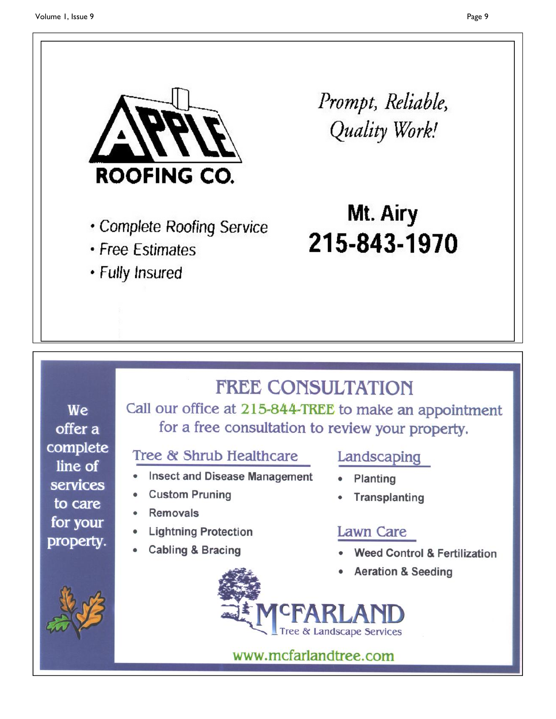

Prompt, Reliable, Quality Work!

- Complete Roofing Service
- Free Estimates
- · Fully Insured

Mt. Airy 215-843-1970

# **FREE CONSULTATION**

We offer a complete line of services to care for your property.

Call our office at 215-844-TREE to make an appointment for a free consultation to review your property.

### Tree & Shrub Healthcare

- **Insect and Disease Management**
- **Custom Pruning**
- **Removals**
- **Lightning Protection**
- **Cabling & Bracing**



- 
- 

### Landscaping

- Planting
- Transplanting

## **Lawn Care**

- **Weed Control & Fertilization**
- **Aeration & Seeding**



www.mcfarlandtree.com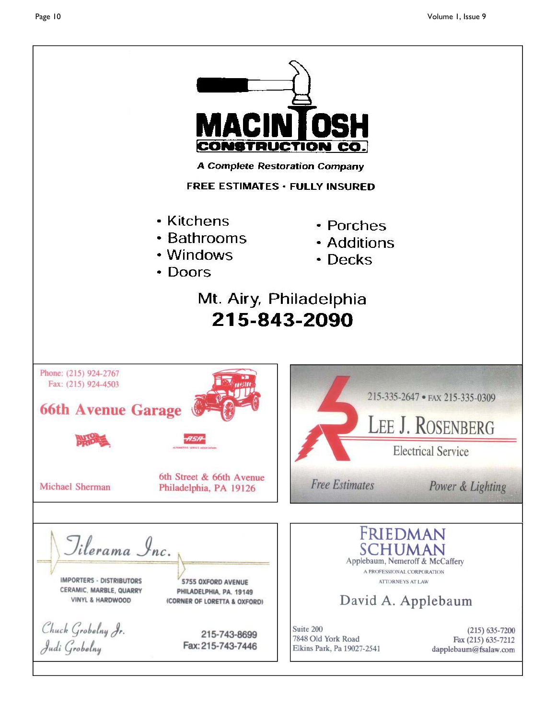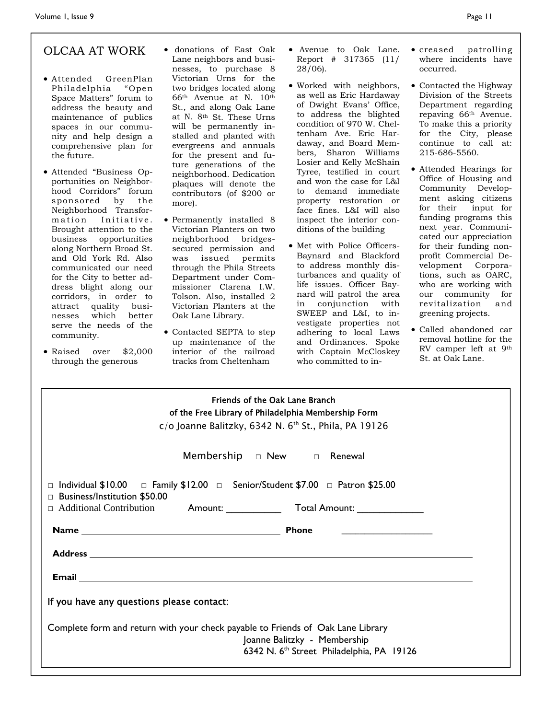### OLCAA AT WORK

- Attended GreenPlan Philadelphia "Open Space Matters" forum to address the beauty and maintenance of publics spaces in our community and help design a comprehensive plan for the future.
- Attended "Business Opportunities on Neighborhood Corridors" forum sponsored by the Neighborhood Transformation Initiative. Brought attention to the business opportunities along Northern Broad St. and Old York Rd. Also communicated our need for the City to better address blight along our corridors, in order to attract quality businesses which better serve the needs of the community.
- Raised over \$2,000 through the generous
- donations of East Oak Lane neighbors and businesses, to purchase 8 Victorian Urns for the two bridges located along 66th Avenue at N. 10th St., and along Oak Lane at N. 8<sup>th</sup> St. These Urns will be permanently installed and planted with evergreens and annuals for the present and future generations of the neighborhood. Dedication plaques will denote the contributors (of \$200 or more).
- Permanently installed 8 Victorian Planters on two neighborhood bridgessecured permission and was issued permits through the Phila Streets Department under Commissioner Clarena I.W. Tolson. Also, installed 2 Victorian Planters at the Oak Lane Library.
- Contacted SEPTA to step up maintenance of the interior of the railroad tracks from Cheltenham
- Avenue to Oak Lane. Report # 317365 (11/ 28/06).
- Worked with neighbors, as well as Eric Hardaway of Dwight Evans' Office, to address the blighted condition of 970 W. Cheltenham Ave. Eric Hardaway, and Board Members, Sharon Williams Losier and Kelly McShain Tyree, testified in court and won the case for L&I to demand immediate property restoration or face fines. L&I will also inspect the interior conditions of the building
- Met with Police Officers-Baynard and Blackford to address monthly disturbances and quality of life issues. Officer Baynard will patrol the area in conjunction with SWEEP and L&I, to investigate properties not adhering to local Laws and Ordinances. Spoke with Captain McCloskey who committed to in-
- creased patrolling where incidents have occurred.
- Contacted the Highway Division of the Streets Department regarding repaving 66th Avenue. To make this a priority for the City, please continue to call at: 215-686-5560.
- Attended Hearings for Office of Housing and Community Development asking citizens for their input for funding programs this next year. Communicated our appreciation for their funding nonprofit Commercial Development Corporations, such as OARC, who are working with our community for revitalization and greening projects.
- Called abandoned car removal hotline for the RV camper left at 9th St. at Oak Lane.

| Friends of the Oak Lane Branch                                                                                                                                           |  |  |
|--------------------------------------------------------------------------------------------------------------------------------------------------------------------------|--|--|
| of the Free Library of Philadelphia Membership Form                                                                                                                      |  |  |
| $c$ /o Joanne Balitzky, 6342 N. 6 <sup>th</sup> St., Phila, PA 19126                                                                                                     |  |  |
|                                                                                                                                                                          |  |  |
| $\Box$ Individual \$10.00 $\Box$ Family \$12.00 $\Box$ Senior/Student \$7.00 $\Box$ Patron \$25.00<br><b>Business/Institution \$50.00</b>                                |  |  |
| □ Additional Contribution Amount: Total Amount: ________________________________                                                                                         |  |  |
| <u> 1986 - Jan Stein Harry Stein Harry Stein Harry Stein Harry Stein Harry Stein Harry Stein Harry Stein Harry St</u>                                                    |  |  |
|                                                                                                                                                                          |  |  |
|                                                                                                                                                                          |  |  |
| If you have any questions please contact:                                                                                                                                |  |  |
| Complete form and return with your check payable to Friends of Oak Lane Library<br>Joanne Balitzky - Membership<br>6342 N. 6 <sup>th</sup> Street Philadelphia, PA 19126 |  |  |